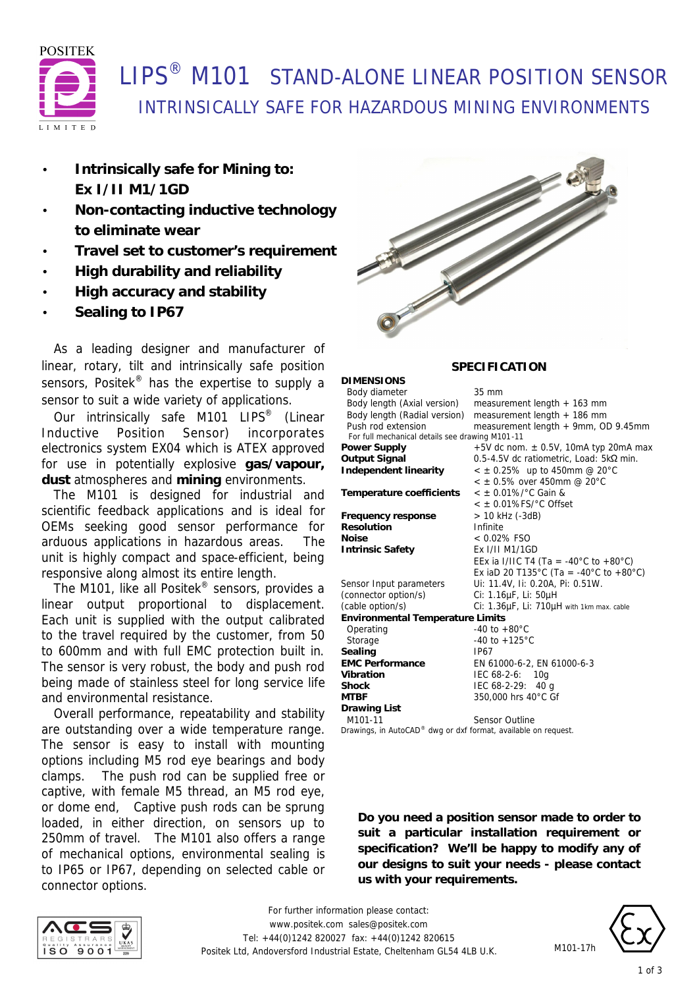

# **I IPS<sup>®</sup> M101 STAND-ALONE LINEAR POSITION SENSOR** INTRINSICALLY SAFE FOR HAZARDOUS MINING ENVIRONMENTS

- **Intrinsically safe for Mining to: Ex I/II M1/1GD**
- **Non-contacting inductive technology to eliminate wear**
- **Travel set to customer's requirement**
- **High durability and reliability**
- **High accuracy and stability**
- **Sealing to IP67**

 As a leading designer and manufacturer of linear, rotary, tilt and intrinsically safe position sensors, Positek<sup>®</sup> has the expertise to supply a sensor to suit a wide variety of applications.

Our intrinsically safe M101 LIPS<sup>®</sup> (Linear Inductive Position Sensor) incorporates electronics system EX04 which is ATEX approved for use in potentially explosive **gas/vapour, dust** atmospheres and **mining** environments.

 The M101 is designed for industrial and scientific feedback applications and is ideal for OEMs seeking good sensor performance for arduous applications in hazardous areas. The unit is highly compact and space-efficient, being responsive along almost its entire length.

 The M101, like all Positek® sensors, provides a linear output proportional to displacement. Each unit is supplied with the output calibrated to the travel required by the customer, from 50 to 600mm and with full EMC protection built in. The sensor is very robust, the body and push rod being made of stainless steel for long service life and environmental resistance.

 Overall performance, repeatability and stability are outstanding over a wide temperature range. The sensor is easy to install with mounting options including M5 rod eye bearings and body clamps. The push rod can be supplied free or captive, with female M5 thread, an M5 rod eye, or dome end, Captive push rods can be sprung loaded, in either direction, on sensors up to 250mm of travel. The M101 also offers a range of mechanical options, environmental sealing is to IP65 or IP67, depending on selected cable or connector options.



### **SPECIFICATION**

| <b>DIMENSIONS</b>                                                           |                                           |
|-----------------------------------------------------------------------------|-------------------------------------------|
| Body diameter                                                               | 35 mm                                     |
| Body length (Axial version)                                                 | measurement length $+$ 163 mm             |
| Body length (Radial version)                                                | measurement length + 186 mm               |
| Push rod extension                                                          | measurement length + 9mm, OD 9.45mm       |
| For full mechanical details see drawing M101-11                             |                                           |
| Power Supply                                                                | +5V dc nom. $\pm$ 0.5V, 10mA typ 20mA max |
| Output Signal                                                               | 0.5-4.5V dc ratiometric, Load: 5kΩ min.   |
| Independent linearity                                                       | $<$ ± 0.25% up to 450mm @ 20°C            |
|                                                                             | $<$ ± 0.5% over 450mm @ 20°C              |
| Temperature coefficients                                                    | $<$ ± 0.01%/°C Gain &                     |
|                                                                             | $<$ $\pm$ 0.01%FS/ $^{\circ}$ C Offset    |
| Frequency response                                                          | > 10 kHz (-3dB)                           |
| <b>Resolution</b>                                                           | Infinite                                  |
| Noise                                                                       | $< 0.02\%$ FSO                            |
| <b>Intrinsic Safety</b>                                                     | Ex I/II M1/1GD                            |
|                                                                             | EEx ia I/IIC T4 (Ta = -40°C to +80°C)     |
|                                                                             | Ex iaD 20 T135°C (Ta = -40°C to +80°C)    |
| Sensor Input parameters                                                     | Ui: 11.4V, Ii: 0.20A, Pi: 0.51W.          |
| (connector option/s)                                                        | Ci: 1.16µF, Li: 50µH                      |
| (cable option/s)                                                            | Ci: 1.36µF, Li: 710µH with 1km max. cable |
| <b>Environmental Temperature Limits</b>                                     |                                           |
| Operating                                                                   | $-40$ to $+80^{\circ}$ C                  |
| Storage                                                                     | $-40$ to $+125^{\circ}$ C                 |
| Sealing                                                                     | <b>IP67</b>                               |
| <b>EMC Performance</b>                                                      | EN 61000-6-2, EN 61000-6-3                |
| Vibration                                                                   | IEC 68-2-6: 10g                           |
| Shock                                                                       | IEC $68-2-29$ : 40 g                      |
| MTBF                                                                        | 350,000 hrs 40°C Gf                       |
| Drawing List                                                                |                                           |
| M101-11                                                                     | <b>Sensor Outline</b>                     |
| $D$ roughers in $A \cup A \cap B$ , durg as dufferment quailable on request |                                           |

*Drawings, in AutoCAD® dwg or dxf format, available on request.*

**Do you need a position sensor made to order to suit a particular installation requirement or specification? We'll be happy to modify any of our designs to suit your needs - please contact us with your requirements.**





M101-17h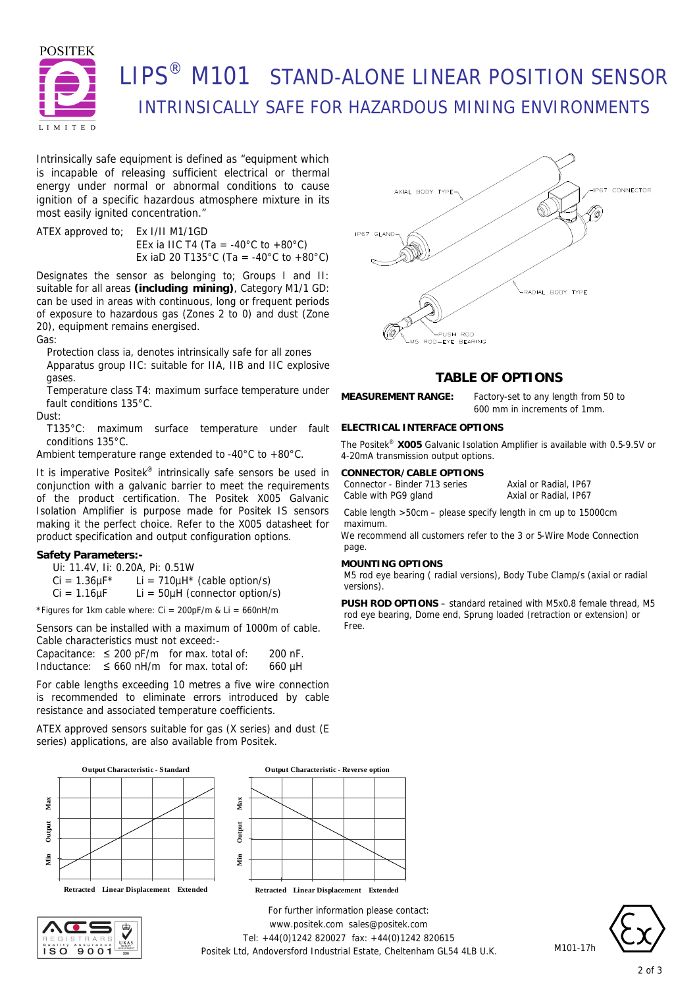

# **LIPS<sup>®</sup> M101 STAND-ALONE LINEAR POSITION SENSOR** INTRINSICALLY SAFE FOR HAZARDOUS MINING ENVIRONMENTS

Intrinsically safe equipment is defined as *"equipment which is incapable of releasing sufficient electrical or thermal energy under normal or abnormal conditions to cause ignition of a specific hazardous atmosphere mixture in its most easily ignited concentration."*

ATEX approved to; Ex I/II M1/1GD EEx ia IIC T4 (Ta = -40 $^{\circ}$ C to +80 $^{\circ}$ C) Ex iaD 20 T135°C (Ta = -40°C to +80°C)

Designates the sensor as belonging to; Groups I and II: suitable for all areas **(including mining)**, Category M1/1 GD: can be used in areas with continuous, long or frequent periods of exposure to hazardous gas (Zones 2 to 0) and dust (Zone 20), equipment remains energised.

Gas:

Protection class ia, denotes intrinsically safe for all zones Apparatus group IIC: suitable for IIA, IIB and IIC explosive gases.

Temperature class T4: maximum surface temperature under fault conditions 135°C.

Dust:

T135°C: maximum surface temperature under fault conditions 135°C.

Ambient temperature range extended to -40°C to +80°C.

It is imperative Positek® intrinsically safe sensors be used in conjunction with a galvanic barrier to meet the requirements of the product certification. The Positek X005 Galvanic Isolation Amplifier is purpose made for Positek IS sensors making it the perfect choice. Refer to the X005 datasheet for product specification and output configuration options.

### **Safety Parameters:-**

Ui: 11.4V, Ii: 0.20A, Pi: 0.51W

 $Ci = 1.36 \mu F^*$  Li = 710 $\mu$ H<sup>\*</sup> (cable option/s)

 $Ci = 1.16 \mu F$  Li = 50 $\mu$ H (connector option/s)

\*Figures for 1km cable where:  $Ci = 200pF/m$  &  $Li = 660nH/m$ 

Sensors can be installed with a maximum of 1000m of cable. Cable characteristics must not exceed:-

Capacitance:  $\leq 200$  pF/m for max. total of: 200 nF. Inductance:  $\leq 660$  nH/m for max. total of: 660 µH

For cable lengths exceeding 10 metres a five wire connection is recommended to eliminate errors introduced by cable resistance and associated temperature coefficients.

ATEX approved sensors suitable for gas (X series) and dust (E series) applications, are also available from Positek.







*For further information please contact:* www.positek.com sales@positek.com Tel: +44(0)1242 820027 fax: +44(0)1242 820615 Positek Ltd, Andoversford Industrial Estate, Cheltenham GL54 4LB U.K.



## **TABLE OF OPTIONS**

**MEASUREMENT RANGE:** Factory-set to any length from 50 to 600 mm in increments of 1mm.

### **ELECTRICAL INTERFACE OPTIONS**

The Positek® **X005** Galvanic Isolation Amplifier is available with 0.5-9.5V or 4-20mA transmission output options.

#### **CONNECTOR/CABLE OPTIONS**

Connector - Binder 713 series Axial or Radial, IP67 Cable with PG9 gland Axial or Radial, IP67

Cable length >50cm – please specify length in cm up to 15000cm maximum.

We recommend all customers refer to the 3 or 5-Wire Mode Connection page.

#### **MOUNTING OPTIONS**

M5 rod eye bearing ( radial versions), Body Tube Clamp/s (axial or radial versions).

**PUSH ROD OPTIONS** – standard retained with M5x0.8 female thread, M5 rod eye bearing, Dome end, Sprung loaded (retraction or extension) or Free.



M101-17h